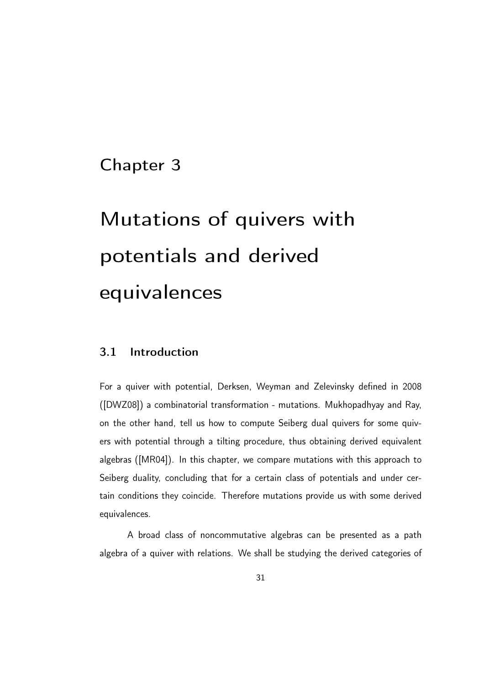# Chapter 3

# Mutations of quivers with potentials and derived equivalences

# 3.1 Introduction

For a quiver with potential, Derksen, Weyman and Zelevinsky defined in 2008 ([DWZ08]) a combinatorial transformation - mutations. Mukhopadhyay and Ray, on the other hand, tell us how to compute Seiberg dual quivers for some quivers with potential through a tilting procedure, thus obtaining derived equivalent algebras ([MR04]). In this chapter, we compare mutations with this approach to Seiberg duality, concluding that for a certain class of potentials and under certain conditions they coincide. Therefore mutations provide us with some derived equivalences.

A broad class of noncommutative algebras can be presented as a path algebra of a quiver with relations. We shall be studying the derived categories of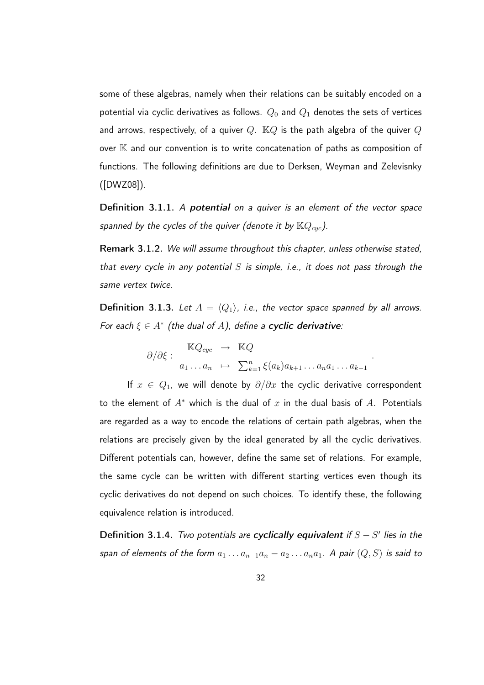some of these algebras, namely when their relations can be suitably encoded on a potential via cyclic derivatives as follows.  $Q_0$  and  $Q_1$  denotes the sets of vertices and arrows, respectively, of a quiver  $Q$ .  $\mathbb{K}Q$  is the path algebra of the quiver  $Q$ over K and our convention is to write concatenation of paths as composition of functions. The following definitions are due to Derksen, Weyman and Zelevisnky ([DWZ08]).

Definition 3.1.1. A potential on a quiver is an element of the vector space spanned by the cycles of the quiver (denote it by  $\mathbb{K}Q_{cyc}$ ).

Remark 3.1.2. We will assume throughout this chapter, unless otherwise stated, that every cycle in any potential S is simple, i.e., it does not pass through the same vertex twice.

**Definition 3.1.3.** Let  $A = \langle Q_1 \rangle$ , i.e., the vector space spanned by all arrows. For each  $\xi \in A^*$  (the dual of A), define a cyclic derivative:

$$
\partial/\partial \xi: \frac{\mathbb{K}Q_{cyc}}{a_1 \dots a_n} \mapsto \frac{\mathbb{K}Q}{\sum_{k=1}^n \xi(a_k)a_{k+1} \dots a_n a_1 \dots a_{k-1}}.
$$

If  $x \in Q_1$ , we will denote by  $\partial/\partial x$  the cyclic derivative correspondent to the element of  $A^*$  which is the dual of x in the dual basis of A. Potentials are regarded as a way to encode the relations of certain path algebras, when the relations are precisely given by the ideal generated by all the cyclic derivatives. Different potentials can, however, define the same set of relations. For example, the same cycle can be written with different starting vertices even though its cyclic derivatives do not depend on such choices. To identify these, the following equivalence relation is introduced.

Definition 3.1.4. Two potentials are cyclically equivalent if  $S-S'$  lies in the span of elements of the form  $a_1 \ldots a_{n-1}a_n - a_2 \ldots a_n a_1$ . A pair  $(Q, S)$  is said to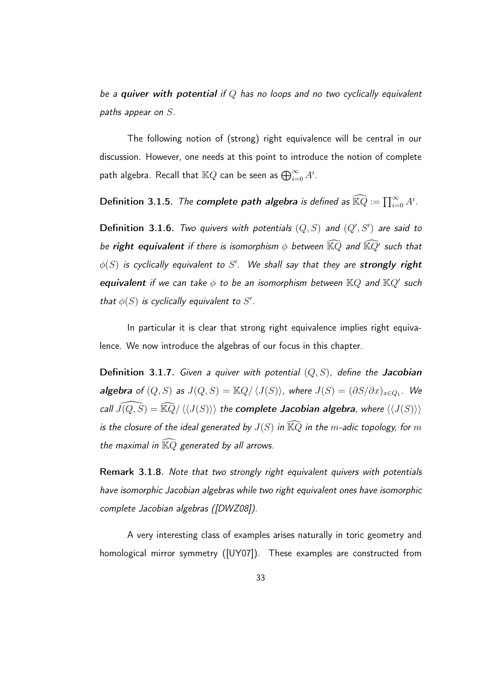be a quiver with potential if  $Q$  has no loops and no two cyclically equivalent paths appear on S.

The following notion of (strong) right equivalence will be central in our discussion. However, one needs at this point to introduce the notion of complete path algebra. Recall that  $\mathbb{K} Q$  can be seen as  $\bigoplus_{i=0}^\infty A^i.$ 

Definition 3.1.5. *The complete path algebra is defined as*  $\widehat{\mathbb{K} Q}:=\prod_{i=0}^\infty A^i.$ 

**Definition 3.1.6.** Two quivers with potentials  $(Q, S)$  and  $(Q', S')$  are said to be right equivalent if there is isomorphism  $\phi$  between  $\widehat{\mathbb{K} Q}$  and  $\widehat{\mathbb{K} Q'}$  such that  $\phi(S)$  is cyclically equivalent to  $S'.$  We shall say that they are strongly right equivalent if we can take  $\phi$  to be an isomorphism between  $\mathbb{K} Q$  and  $\mathbb{K} Q'$  such that  $\phi(S)$  is cyclically equivalent to S'.

In particular it is clear that strong right equivalence implies right equivalence. We now introduce the algebras of our focus in this chapter.

**Definition 3.1.7.** Given a quiver with potential  $(Q, S)$ , define the Jacobian algebra of  $(Q, S)$  as  $J(Q, S) = \mathbb{K}Q/\langle J(S) \rangle$ , where  $J(S) = (\partial S/\partial x)_{x \in Q_1}$ . We call  $\widehat{J(Q,S)} = \widehat{\mathbb{K}Q}/\langle\langle J(S)\rangle\rangle$  the complete Jacobian algebra, where  $\langle\langle J(S)\rangle\rangle$ is the closure of the ideal generated by  $J(S)$  in  $\widehat{\mathbb{K} Q}$  in the m-adic topology, for  $m$ the maximal in  $\widehat{\mathbb{K} Q}$  generated by all arrows.

Remark 3.1.8. Note that two strongly right equivalent quivers with potentials have isomorphic Jacobian algebras while two right equivalent ones have isomorphic complete Jacobian algebras ([DWZ08]).

A very interesting class of examples arises naturally in toric geometry and homological mirror symmetry ([UY07]). These examples are constructed from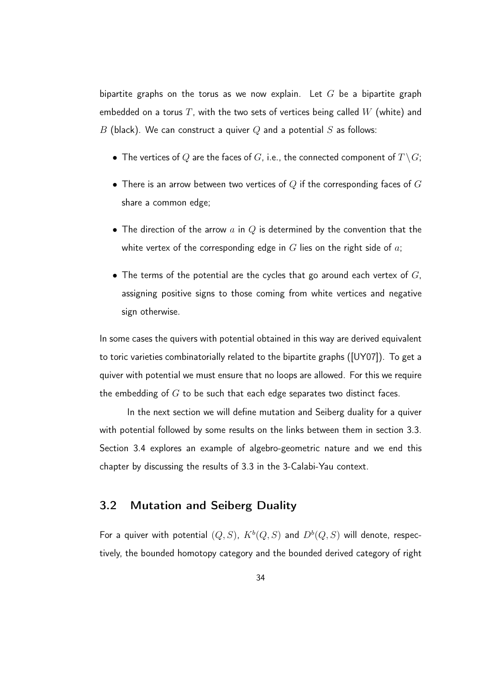bipartite graphs on the torus as we now explain. Let  $G$  be a bipartite graph embedded on a torus  $T$ , with the two sets of vertices being called  $W$  (white) and B (black). We can construct a quiver Q and a potential S as follows:

- The vertices of Q are the faces of G, i.e., the connected component of  $T \setminus G$ ;
- $\bullet$  There is an arrow between two vertices of  $Q$  if the corresponding faces of  $G$ share a common edge;
- The direction of the arrow  $a$  in  $Q$  is determined by the convention that the white vertex of the corresponding edge in  $G$  lies on the right side of  $a$ ;
- The terms of the potential are the cycles that go around each vertex of  $G$ , assigning positive signs to those coming from white vertices and negative sign otherwise.

In some cases the quivers with potential obtained in this way are derived equivalent to toric varieties combinatorially related to the bipartite graphs ([UY07]). To get a quiver with potential we must ensure that no loops are allowed. For this we require the embedding of  $G$  to be such that each edge separates two distinct faces.

In the next section we will define mutation and Seiberg duality for a quiver with potential followed by some results on the links between them in section 3.3. Section 3.4 explores an example of algebro-geometric nature and we end this chapter by discussing the results of 3.3 in the 3-Calabi-Yau context.

## 3.2 Mutation and Seiberg Duality

For a quiver with potential  $(Q, S)$ ,  $K^b(Q, S)$  and  $D^b(Q, S)$  will denote, respectively, the bounded homotopy category and the bounded derived category of right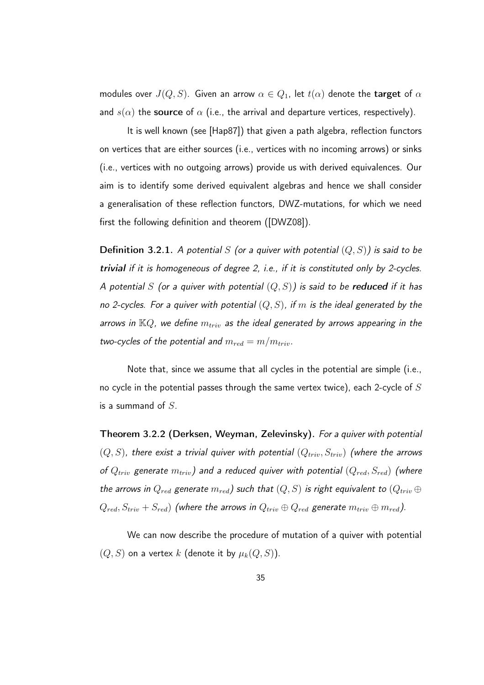modules over  $J(Q, S)$ . Given an arrow  $\alpha \in Q_1$ , let  $t(\alpha)$  denote the target of  $\alpha$ and  $s(\alpha)$  the source of  $\alpha$  (i.e., the arrival and departure vertices, respectively).

It is well known (see [Hap87]) that given a path algebra, reflection functors on vertices that are either sources (i.e., vertices with no incoming arrows) or sinks (i.e., vertices with no outgoing arrows) provide us with derived equivalences. Our aim is to identify some derived equivalent algebras and hence we shall consider a generalisation of these reflection functors, DWZ-mutations, for which we need first the following definition and theorem ([DWZ08]).

**Definition 3.2.1.** A potential S (or a quiver with potential  $(Q, S)$ ) is said to be trivial if it is homogeneous of degree 2, i.e., if it is constituted only by 2-cycles. A potential S (or a quiver with potential  $(Q, S)$ ) is said to be **reduced** if it has no 2-cycles. For a quiver with potential  $(Q, S)$ , if m is the ideal generated by the arrows in  $\mathbb{K}Q$ , we define  $m_{triv}$  as the ideal generated by arrows appearing in the two-cycles of the potential and  $m_{red} = m/m_{triv}$ .

Note that, since we assume that all cycles in the potential are simple (i.e., no cycle in the potential passes through the same vertex twice), each 2-cycle of  $S$ is a summand of  $S$ .

Theorem 3.2.2 (Derksen, Weyman, Zelevinsky). For a quiver with potential  $(Q, S)$ , there exist a trivial quiver with potential  $(Q_{triv}, S_{triv})$  (where the arrows of  $Q_{triv}$  generate  $m_{triv}$ ) and a reduced quiver with potential  $(Q_{red},S_{red})$  (where the arrows in  $Q_{red}$  generate  $m_{red}$ ) such that  $(Q, S)$  is right equivalent to  $(Q_{triv} \oplus$  $Q_{red}, S_{triv} + S_{red}$ ) (where the arrows in  $Q_{triv} \oplus Q_{red}$  generate  $m_{triv} \oplus m_{red}$ ).

We can now describe the procedure of mutation of a quiver with potential  $(Q, S)$  on a vertex k (denote it by  $\mu_k(Q, S)$ ).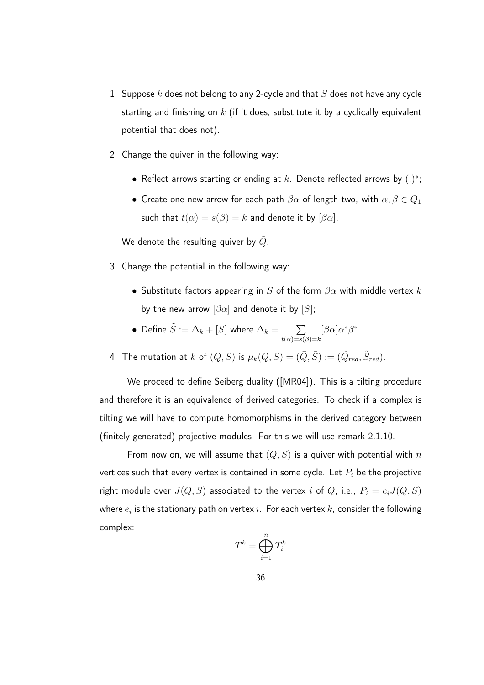- 1. Suppose  $k$  does not belong to any 2-cycle and that  $S$  does not have any cycle starting and finishing on  $k$  (if it does, substitute it by a cyclically equivalent potential that does not).
- 2. Change the quiver in the following way:
	- Reflect arrows starting or ending at  $k$ . Denote reflected arrows by  $(.)^*$ ;
	- Create one new arrow for each path  $\beta\alpha$  of length two, with  $\alpha, \beta \in Q_1$ such that  $t(\alpha) = s(\beta) = k$  and denote it by  $[\beta \alpha]$ .

We denote the resulting quiver by  $\tilde{Q}$ .

- 3. Change the potential in the following way:
	- Substitute factors appearing in S of the form  $\beta \alpha$  with middle vertex k by the new arrow  $[\beta \alpha]$  and denote it by  $[S]$ ;
	- Define  $\tilde{S} := \Delta_k + [S]$  where  $\Delta_k = \sum_{k=1}^{\infty}$  $t(\alpha)=s(\beta)=k$  $[\beta\alpha]\alpha^*\beta^*.$
- 4. The mutation at  $k$  of  $(Q, S)$  is  $\mu_k(Q, S) = (\bar{Q}, \bar{S}) := (\tilde{Q}_{red}, \tilde{S}_{red}).$

We proceed to define Seiberg duality ([MR04]). This is a tilting procedure and therefore it is an equivalence of derived categories. To check if a complex is tilting we will have to compute homomorphisms in the derived category between (finitely generated) projective modules. For this we will use remark 2.1.10.

From now on, we will assume that  $(Q, S)$  is a quiver with potential with  $n$ vertices such that every vertex is contained in some cycle. Let  $P_i$  be the projective right module over  $J(Q, S)$  associated to the vertex i of  $Q$ , i.e.,  $P_i = e_i J(Q, S)$ where  $e_i$  is the stationary path on vertex  $i.$  For each vertex  $k$ , consider the following complex:

$$
T^k = \bigoplus_{i=1}^n T_i^k
$$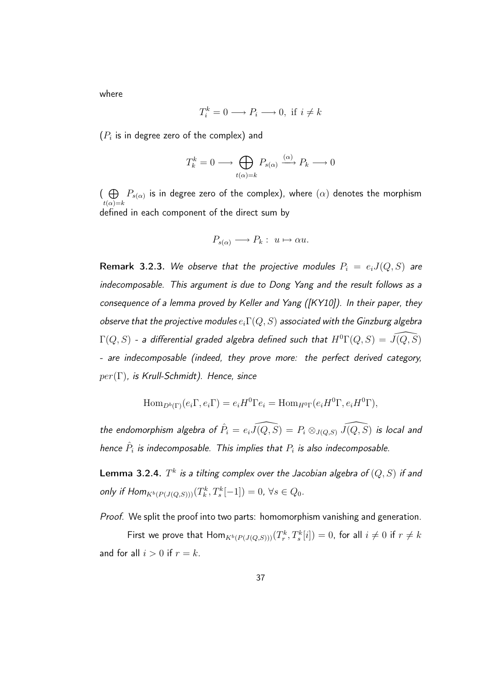where

$$
T_i^k = 0 \longrightarrow P_i \longrightarrow 0, \text{ if } i \neq k
$$

 $(P_i$  is in degree zero of the complex) and

$$
T_k^k = 0 \longrightarrow \bigoplus_{t(\alpha)=k} P_{s(\alpha)} \xrightarrow{(\alpha)} P_k \longrightarrow 0
$$

 $\overline{\Theta}$  $t(\alpha)=k$  $P_{s(\alpha)}$  is in degree zero of the complex), where  $(\alpha)$  denotes the morphism defined in each component of the direct sum by

$$
P_{s(\alpha)} \longrightarrow P_k: u \mapsto \alpha u.
$$

Remark 3.2.3. We observe that the projective modules  $P_i = e_i J(Q, S)$  are indecomposable. This argument is due to Dong Yang and the result follows as a consequence of a lemma proved by Keller and Yang ([KY10]). In their paper, they observe that the projective modules  $e_i \Gamma(Q,S)$  associated with the Ginzburg algebra  $\Gamma(Q,S)$  - a differential graded algebra defined such that  $H^0\Gamma(Q,S) = \widehat{J(Q,S)}$ - are indecomposable (indeed, they prove more: the perfect derived category,  $per(\Gamma)$ , is Krull-Schmidt). Hence, since

$$
\operatorname{Hom}_{D^b(\Gamma)}(e_i \Gamma, e_i \Gamma) = e_i H^0 \Gamma e_i = \operatorname{Hom}_{H^0 \Gamma}(e_i H^0 \Gamma, e_i H^0 \Gamma),
$$

the endomorphism algebra of  $\hat{P}_i = e_i \widehat{J(Q,S)} = P_i \otimes_{J(Q,S)} \widehat{J(Q,S)}$  is local and hence  $\hat{P}_i$  is indecomposable. This implies that  $P_i$  is also indecomposable.

 ${\sf Lemma~3.2.4}$ .  $T^k$  is a tilting complex over the Jacobian algebra of  $(Q,S)$  if and only if  $\text{Hom}_{K^b(P(J(Q,S)))}(T^k_k, T^k_s[-1]) = 0, \forall s \in Q_0.$ 

Proof. We split the proof into two parts: homomorphism vanishing and generation.

First we prove that  $\mathsf{Hom}_{K^b(P(J(Q,S)))}(T^k_r,T^k_s[i])=0$ , for all  $i\neq 0$  if  $r\neq k$ and for all  $i > 0$  if  $r = k$ .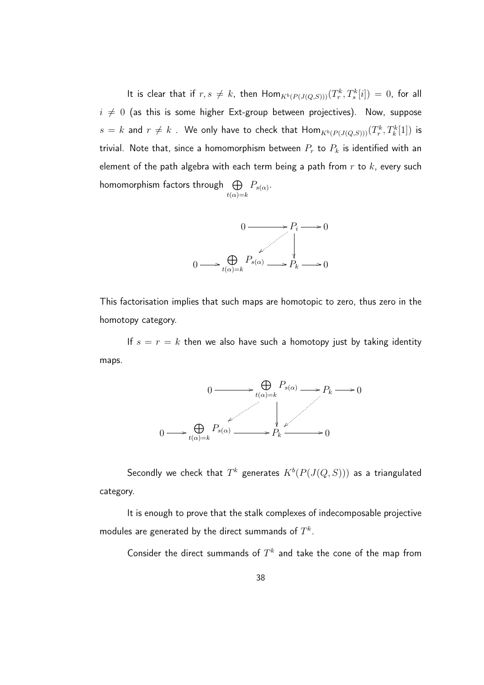It is clear that if  $r,s \neq k$ , then  $\textsf{Hom}_{K^b(P(J(Q,S)))}(T^k_r,T^k_s[i]) = 0$ , for all  $i \neq 0$  (as this is some higher Ext-group between projectives). Now, suppose  $s\,=\,k$  and  $r\neq k$  . We only have to check that  $\mathsf{Hom}_{K^b(P(J(Q,S)))}(T^k_r,T^k_k[1])$  is trivial. Note that, since a homomorphism between  $P_r$  to  $P_k$  is identified with an element of the path algebra with each term being a path from  $r$  to  $k$ , every such homomorphism factors through  $\oplus$  $t(\alpha)=k$  $P_{s(\alpha)}$ .



This factorisation implies that such maps are homotopic to zero, thus zero in the homotopy category.

If  $s = r = k$  then we also have such a homotopy just by taking identity maps.



Secondly we check that  $T^k$  generates  $K^b(P(J(Q,S)))$  as a triangulated category.

It is enough to prove that the stalk complexes of indecomposable projective modules are generated by the direct summands of  $T^k.$ 

Consider the direct summands of  $T^k$  and take the cone of the map from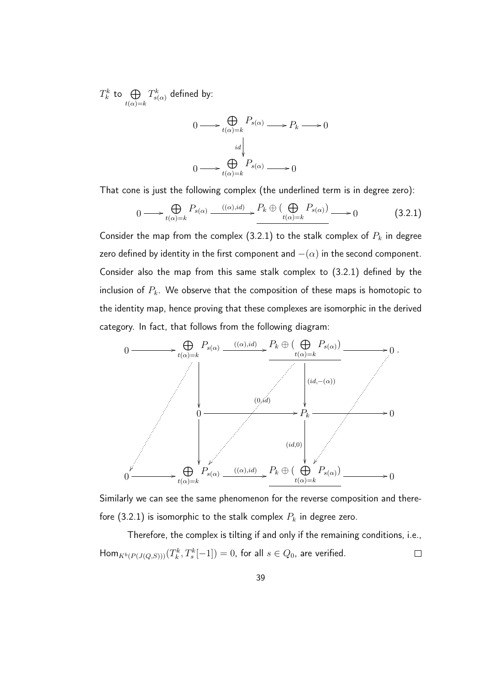$T_k^k$  to  $\bigoplus$  $t(\alpha)=k$  $T_{s(\alpha)}^{k}$  defined by:

$$
0 \longrightarrow \bigoplus_{t(\alpha)=k} P_{s(\alpha)} \longrightarrow P_k \longrightarrow 0
$$

$$
\downarrow d \qquad \qquad \downarrow d
$$

$$
0 \longrightarrow \bigoplus_{t(\alpha)=k} P_{s(\alpha)} \longrightarrow 0
$$

That cone is just the following complex (the underlined term is in degree zero):

$$
0 \longrightarrow \bigoplus_{t(\alpha)=k} P_{s(\alpha)} \xrightarrow{((\alpha),id)} P_k \oplus (\bigoplus_{t(\alpha)=k} P_{s(\alpha)}) \longrightarrow 0 \tag{3.2.1}
$$

Consider the map from the complex (3.2.1) to the stalk complex of  $P_k$  in degree zero defined by identity in the first component and  $-(\alpha)$  in the second component. Consider also the map from this same stalk complex to (3.2.1) defined by the inclusion of  $P_k$ . We observe that the composition of these maps is homotopic to the identity map, hence proving that these complexes are isomorphic in the derived category. In fact, that follows from the following diagram:



Similarly we can see the same phenomenon for the reverse composition and therefore (3.2.1) is isomorphic to the stalk complex  $P_k$  in degree zero.

Therefore, the complex is tilting if and only if the remaining conditions, i.e.,  $\mathsf{Hom}_{K^b(P(J(Q,S)))}(T^k_k,T^k_s[-1])=0$ , for all  $s\in Q_0$ , are verified.  $\Box$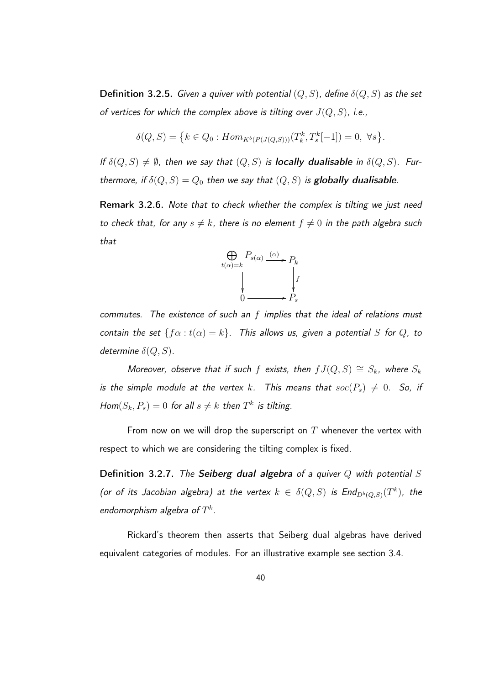**Definition 3.2.5.** Given a quiver with potential  $(Q, S)$ , define  $\delta(Q, S)$  as the set of vertices for which the complex above is tilting over  $J(Q, S)$ , i.e.,

$$
\delta(Q, S) = \left\{ k \in Q_0 : Hom_{K^b(P(J(Q, S)))}(T_k^k, T_s^k[-1]) = 0, \ \forall s \right\}.
$$

If  $\delta(Q, S) \neq \emptyset$ , then we say that  $(Q, S)$  is **locally dualisable** in  $\delta(Q, S)$ . Furthermore, if  $\delta(Q, S) = Q_0$  then we say that  $(Q, S)$  is globally dualisable.

Remark 3.2.6. Note that to check whether the complex is tilting we just need to check that, for any  $s \neq k$ , there is no element  $f \neq 0$  in the path algebra such that



commutes. The existence of such an  $f$  implies that the ideal of relations must contain the set  $\{f\alpha : t(\alpha) = k\}$ . This allows us, given a potential S for Q, to determine  $\delta(Q, S)$ .

Moreover, observe that if such f exists, then  $fJ(Q,S) \cong S_k$ , where  $S_k$ is the simple module at the vertex k. This means that  $soc(P_s) \neq 0$ . So, if  $Hom(S_k, P_s) = 0$  for all  $s \neq k$  then  $T^k$  is tilting.

From now on we will drop the superscript on  $T$  whenever the vertex with respect to which we are considering the tilting complex is fixed.

Definition 3.2.7. The Seiberg dual algebra of a quiver  $Q$  with potential  $S$ (or of its Jacobian algebra) at the vertex  $k \in \delta(Q,S)$  is  $\mathsf{End}_{D^b(Q,S)}(T^k)$ , the endomorphism algebra of  $T^k$ .

Rickard's theorem then asserts that Seiberg dual algebras have derived equivalent categories of modules. For an illustrative example see section 3.4.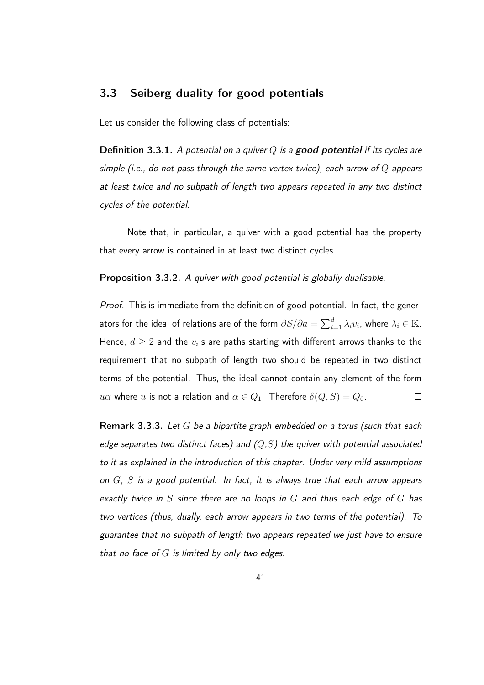### 3.3 Seiberg duality for good potentials

Let us consider the following class of potentials:

**Definition 3.3.1.** A potential on a quiver Q is a **good potential** if its cycles are simple (i.e., do not pass through the same vertex twice), each arrow of  $Q$  appears at least twice and no subpath of length two appears repeated in any two distinct cycles of the potential.

Note that, in particular, a quiver with a good potential has the property that every arrow is contained in at least two distinct cycles.

Proposition 3.3.2. A quiver with good potential is globally dualisable.

Proof. This is immediate from the definition of good potential. In fact, the generators for the ideal of relations are of the form  $\partial S/\partial a = \sum_{i=1}^d \lambda_i v_i$ , where  $\lambda_i \in \mathbb{K}.$ Hence,  $d\geq 2$  and the  $v_i$ 's are paths starting with different arrows thanks to the requirement that no subpath of length two should be repeated in two distinct terms of the potential. Thus, the ideal cannot contain any element of the form u $\alpha$  where u is not a relation and  $\alpha \in Q_1$ . Therefore  $\delta(Q,S) = Q_0$ .  $\Box$ 

Remark 3.3.3. Let  $G$  be a bipartite graph embedded on a torus (such that each edge separates two distinct faces) and  $(Q, S)$  the quiver with potential associated to it as explained in the introduction of this chapter. Under very mild assumptions on  $G$ ,  $S$  is a good potential. In fact, it is always true that each arrow appears exactly twice in S since there are no loops in  $G$  and thus each edge of  $G$  has two vertices (thus, dually, each arrow appears in two terms of the potential). To guarantee that no subpath of length two appears repeated we just have to ensure that no face of  $G$  is limited by only two edges.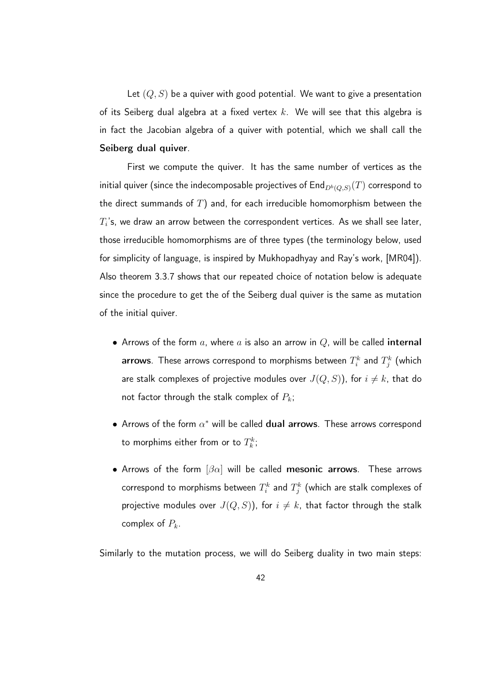Let  $(Q, S)$  be a quiver with good potential. We want to give a presentation of its Seiberg dual algebra at a fixed vertex  $k$ . We will see that this algebra is in fact the Jacobian algebra of a quiver with potential, which we shall call the Seiberg dual quiver.

First we compute the quiver. It has the same number of vertices as the initial quiver (since the indecomposable projectives of End $_{D^b(Q,S)}(T)$  correspond to the direct summands of  $T$ ) and, for each irreducible homomorphism between the  $T_i$ 's, we draw an arrow between the correspondent vertices. As we shall see later, those irreducible homomorphisms are of three types (the terminology below, used for simplicity of language, is inspired by Mukhopadhyay and Ray's work, [MR04]). Also theorem 3.3.7 shows that our repeated choice of notation below is adequate since the procedure to get the of the Seiberg dual quiver is the same as mutation of the initial quiver.

- Arrows of the form  $a$ , where  $a$  is also an arrow in  $Q$ , will be called internal **arrows**. These arrows correspond to morphisms between  $T_i^k$  and  $T_j^k$  (which are stalk complexes of projective modules over  $J(Q, S)$ ), for  $i \neq k$ , that do not factor through the stalk complex of  $P_k$ ;
- $\bullet$  Arrows of the form  $\alpha^*$  will be called  $\mathbf d$ ual arrows. These arrows correspond to morphims either from or to  $T^k_k;$
- Arrows of the form  $\left[\beta\alpha\right]$  will be called mesonic arrows. These arrows correspond to morphisms between  $T_i^k$  and  $T_j^k$  (which are stalk complexes of projective modules over  $J(Q, S)$ ), for  $i \neq k$ , that factor through the stalk complex of  $P_k$ .

Similarly to the mutation process, we will do Seiberg duality in two main steps: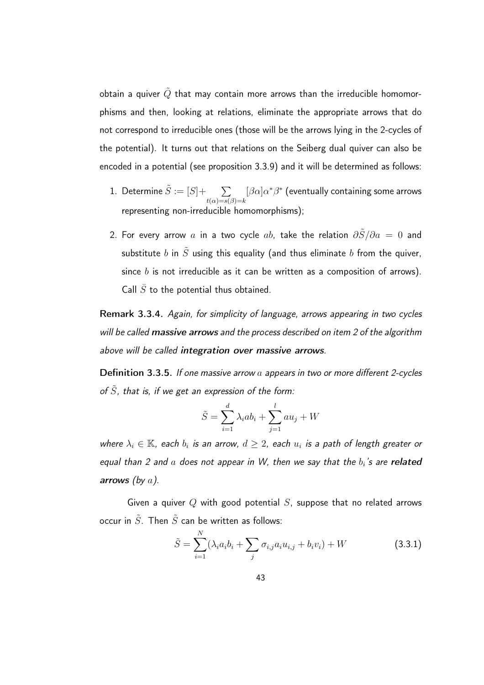obtain a quiver  $\tilde{Q}$  that may contain more arrows than the irreducible homomorphisms and then, looking at relations, eliminate the appropriate arrows that do not correspond to irreducible ones (those will be the arrows lying in the 2-cycles of the potential). It turns out that relations on the Seiberg dual quiver can also be encoded in a potential (see proposition 3.3.9) and it will be determined as follows:

- 1. Determine  $\tilde{S} := [S] + \sum$  $t(\alpha)=s(\beta)=k$  $[\beta\alpha]\alpha^*\beta^*$  (eventually containing some arrows representing non-irreducible homomorphisms);
- 2. For every arrow a in a two cycle ab, take the relation  $\frac{\partial \tilde{S}}{\partial a} = 0$  and substitute b in  $\tilde{S}$  using this equality (and thus eliminate b from the quiver, since  $b$  is not irreducible as it can be written as a composition of arrows). Call  $\bar{S}$  to the potential thus obtained.

Remark 3.3.4. Again, for simplicity of language, arrows appearing in two cycles will be called massive arrows and the process described on item 2 of the algorithm above will be called integration over massive arrows.

**Definition 3.3.5.** If one massive arrow  $a$  appears in two or more different 2-cycles of  $\tilde{S}$ , that is, if we get an expression of the form:

$$
\tilde{S} = \sum_{i=1}^{d} \lambda_i ab_i + \sum_{j=1}^{l} a u_j + W
$$

where  $\lambda_i \in \mathbb{K}$ , each  $b_i$  is an arrow,  $d \geq 2$ , each  $u_i$  is a path of length greater or equal than 2 and  $a$  does not appear in W, then we say that the  $b_i$ 's are related arrows (by  $a$ ).

Given a quiver  $Q$  with good potential  $S$ , suppose that no related arrows occur in  $\tilde{S}$ . Then  $\tilde{S}$  can be written as follows:

$$
\tilde{S} = \sum_{i=1}^{N} (\lambda_i a_i b_i + \sum_j \sigma_{i,j} a_i u_{i,j} + b_i v_i) + W
$$
\n(3.3.1)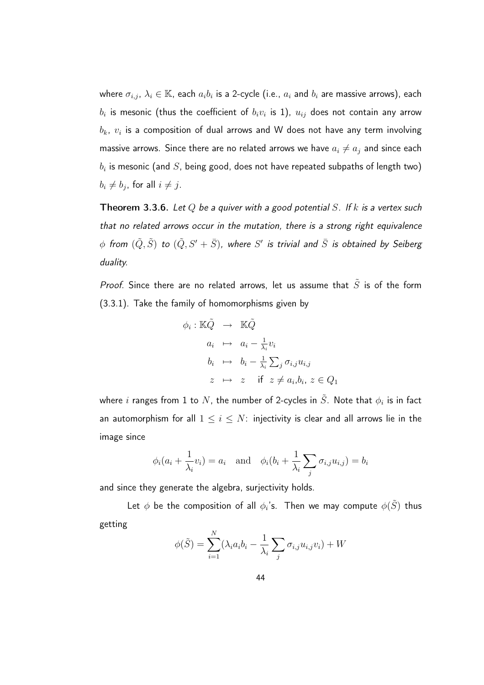where  $\sigma_{i,j},\,\lambda_i\in\mathbb{K}$ , each  $a_ib_i$  is a 2-cycle (i.e.,  $a_i$  and  $b_i$  are massive arrows), each  $b_i$  is mesonic (thus the coefficient of  $b_iv_i$  is 1),  $u_{ij}$  does not contain any arrow  $\mathit{b}_{k},\mathit{v}_{i}$  is a composition of dual arrows and W does not have any term involving massive arrows. Since there are no related arrows we have  $a_i\neq a_j$  and since each  $\mathit{b}_{i}$  is mesonic (and  $S$ , being good, does not have repeated subpaths of length two)  $b_i \neq b_j$ , for all  $i \neq j$ .

**Theorem 3.3.6.** Let Q be a quiver with a good potential S. If k is a vertex such that no related arrows occur in the mutation, there is a strong right equivalence  $\phi$  from  $(\tilde{Q},\tilde{S})$  to  $(\tilde{Q},S' + \bar{S})$ , where  $S'$  is trivial and  $\bar{S}$  is obtained by Seiberg duality.

Proof. Since there are no related arrows, let us assume that  $\tilde{S}$  is of the form (3.3.1). Take the family of homomorphisms given by

$$
\phi_i : \mathbb{K}\tilde{Q} \rightarrow \mathbb{K}\tilde{Q}
$$
\n
$$
a_i \mapsto a_i - \frac{1}{\lambda_i}v_i
$$
\n
$$
b_i \mapsto b_i - \frac{1}{\lambda_i} \sum_j \sigma_{i,j} u_{i,j}
$$
\n
$$
z \mapsto z \quad \text{if } z \neq a_i, b_i, z \in Q_1
$$

where  $i$  ranges from 1 to  $N$ , the number of 2-cycles in  $\tilde{S}$ . Note that  $\phi_i$  is in fact an automorphism for all  $1 \leq i \leq N$ : injectivity is clear and all arrows lie in the image since

$$
\phi_i(a_i + \frac{1}{\lambda_i}v_i) = a_i
$$
 and  $\phi_i(b_i + \frac{1}{\lambda_i}\sum_j \sigma_{i,j}u_{i,j}) = b_i$ 

and since they generate the algebra, surjectivity holds.

Let  $\phi$  be the composition of all  $\phi_i$ 's. Then we may compute  $\phi(\tilde{S})$  thus getting

$$
\phi(\tilde{S}) = \sum_{i=1}^{N} (\lambda_i a_i b_i - \frac{1}{\lambda_i} \sum_j \sigma_{i,j} u_{i,j} v_i) + W
$$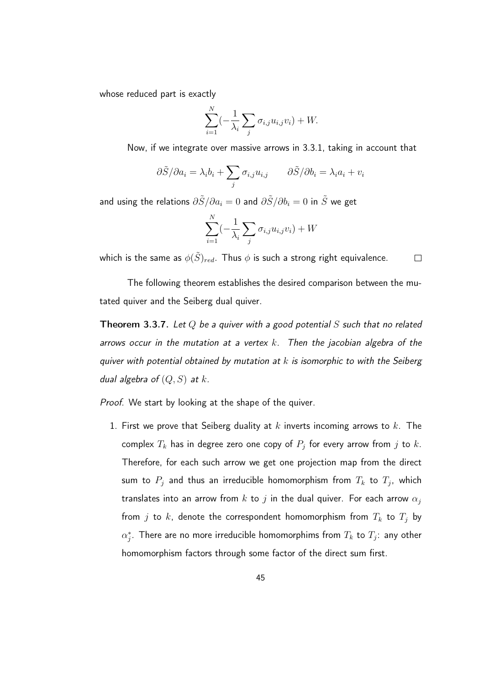whose reduced part is exactly

$$
\sum_{i=1}^{N} \left(-\frac{1}{\lambda_i} \sum_j \sigma_{i,j} u_{i,j} v_i\right) + W.
$$

Now, if we integrate over massive arrows in 3.3.1, taking in account that

$$
\frac{\partial \tilde{S}}{\partial a_i} = \lambda_i b_i + \sum_j \sigma_{i,j} u_{i,j} \qquad \frac{\partial \tilde{S}}{\partial b_i} = \lambda_i a_i + v_i
$$

and using the relations  $\partial \tilde{S}/\partial a_i = 0$  and  $\partial \tilde{S}/\partial b_i = 0$  in  $\tilde{S}$  we get

$$
\sum_{i=1}^{N} \left(-\frac{1}{\lambda_i} \sum_j \sigma_{i,j} u_{i,j} v_i\right) + W
$$

which is the same as  $\phi(\tilde{S})_{red}$ . Thus  $\phi$  is such a strong right equivalence.  $\Box$ 

The following theorem establishes the desired comparison between the mutated quiver and the Seiberg dual quiver.

**Theorem 3.3.7.** Let Q be a quiver with a good potential S such that no related arrows occur in the mutation at a vertex  $k$ . Then the jacobian algebra of the quiver with potential obtained by mutation at  $k$  is isomorphic to with the Seiberg dual algebra of  $(Q, S)$  at k.

Proof. We start by looking at the shape of the quiver.

1. First we prove that Seiberg duality at  $k$  inverts incoming arrows to  $k$ . The complex  $T_k$  has in degree zero one copy of  $P_j$  for every arrow from  $j$  to  $k.$ Therefore, for each such arrow we get one projection map from the direct sum to  $P_j$  and thus an irreducible homomorphism from  $T_k$  to  $T_j$ , which translates into an arrow from k to j in the dual quiver. For each arrow  $\alpha_j$ from j to k, denote the correspondent homomorphism from  $T_k$  to  $T_j$  by  $\alpha_j^*.$  There are no more irreducible homomorphims from  $T_k$  to  $T_j:$  any other homomorphism factors through some factor of the direct sum first.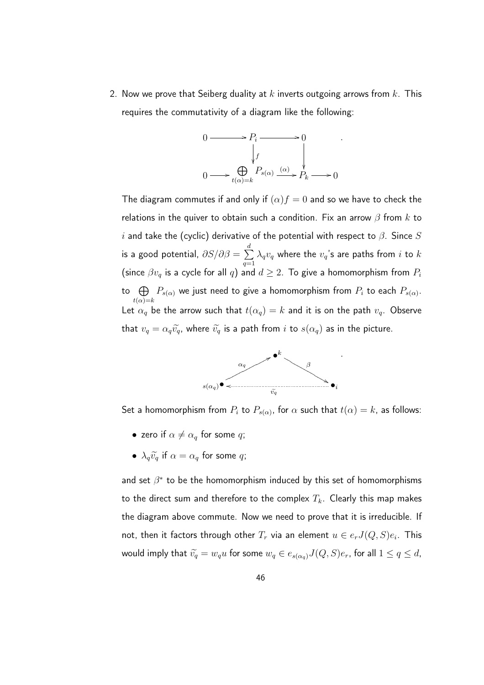2. Now we prove that Seiberg duality at k inverts outgoing arrows from  $k$ . This requires the commutativity of a diagram like the following:

$$
0 \longrightarrow P_i \longrightarrow 0
$$
  
\n
$$
\downarrow f
$$
  
\n
$$
0 \longrightarrow \bigoplus_{t(\alpha)=k} P_{s(\alpha)} \xrightarrow{(\alpha)} P_k \longrightarrow 0
$$

.

The diagram commutes if and only if  $(\alpha) f = 0$  and so we have to check the relations in the quiver to obtain such a condition. Fix an arrow  $\beta$  from  $k$  to i and take the (cyclic) derivative of the potential with respect to  $\beta$ . Since  $S$ is a good potential,  $\partial S/\partial \beta = \sum^d$  $q=1$  $\lambda_qv_q$  where the  $v_q$ 's are paths from  $i$  to  $k$ (since  $\beta v_q$  is a cycle for all  $q$ ) and  $d \geq 2$ . To give a homomorphism from  $P_i$ to  $\oplus$  $t(\alpha)=k$  $P_{s(\alpha)}$  we just need to give a homomorphism from  $P_i$  to each  $P_{s(\alpha)}.$ Let  $\alpha_q$  be the arrow such that  $t(\alpha_q) = k$  and it is on the path  $v_q$ . Observe that  $v_q = \alpha_q \widetilde{v}_q$ , where  $\widetilde{v}_q$  is a path from i to  $s(\alpha_q)$  as in the picture.



Set a homomorphism from  $P_i$  to  $P_{s(\alpha)}$ , for  $\alpha$  such that  $t(\alpha)=k$ , as follows:

- zero if  $\alpha \neq \alpha_q$  for some q;
- $\lambda_a \widetilde{v}_a$  if  $\alpha = \alpha_a$  for some q;

and set  $\beta^*$  to be the homomorphism induced by this set of homomorphisms to the direct sum and therefore to the complex  $T_k$ . Clearly this map makes the diagram above commute. Now we need to prove that it is irreducible. If not, then it factors through other  $T_r$  via an element  $u\in e_r J(Q,S)e_i$ . This would imply that  $\tilde{v}_q = w_q u$  for some  $w_q \in e_{s(\alpha_q)} J(Q, S) e_r$ , for all  $1 \leq q \leq d$ ,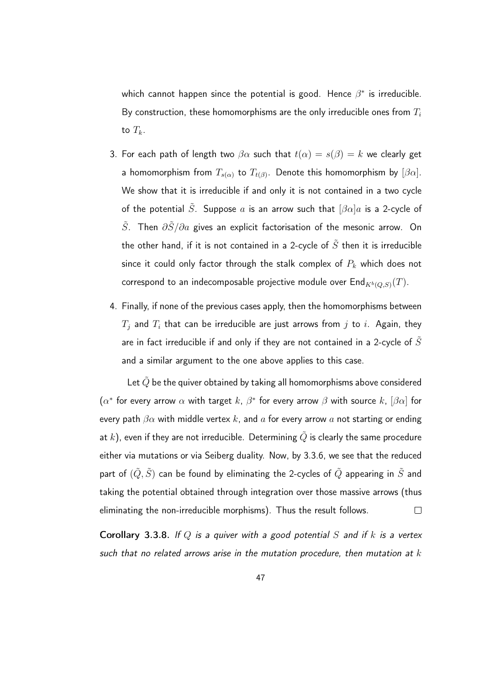which cannot happen since the potential is good. Hence  $\beta^*$  is irreducible. By construction, these homomorphisms are the only irreducible ones from  $T_i$ to  $T_k$ .

- 3. For each path of length two  $\beta \alpha$  such that  $t(\alpha) = s(\beta) = k$  we clearly get a homomorphism from  $T_{s(\alpha)}$  to  $T_{t(\beta)}.$  Denote this homomorphism by  $[\beta\alpha].$ We show that it is irreducible if and only it is not contained in a two cycle of the potential  $\tilde{S}$ . Suppose a is an arrow such that  $[\beta \alpha]a$  is a 2-cycle of  $\tilde{S}$ . Then  $\partial \tilde{S}/\partial a$  gives an explicit factorisation of the mesonic arrow. On the other hand, if it is not contained in a 2-cycle of  $\tilde{S}$  then it is irreducible since it could only factor through the stalk complex of  $P_k$  which does not correspond to an indecomposable projective module over  $\mathsf{End}_{K^b(Q,S)}(T).$
- 4. Finally, if none of the previous cases apply, then the homomorphisms between  $T_i$  and  $T_i$  that can be irreducible are just arrows from j to i. Again, they are in fact irreducible if and only if they are not contained in a 2-cycle of  $S$ and a similar argument to the one above applies to this case.

Let  $\tilde{Q}$  be the quiver obtained by taking all homomorphisms above considered  $(\alpha^*$  for every arrow  $\alpha$  with target  $k$ ,  $\beta^*$  for every arrow  $\beta$  with source  $k$ ,  $[\beta\alpha]$  for every path  $\beta \alpha$  with middle vertex k, and a for every arrow a not starting or ending at  $k$ ), even if they are not irreducible. Determining  $\tilde{Q}$  is clearly the same procedure either via mutations or via Seiberg duality. Now, by 3.3.6, we see that the reduced part of  $(\tilde{Q}, \tilde{S})$  can be found by eliminating the 2-cycles of  $\tilde{Q}$  appearing in  $\tilde{S}$  and taking the potential obtained through integration over those massive arrows (thus eliminating the non-irreducible morphisms). Thus the result follows.  $\Box$ 

**Corollary 3.3.8.** If Q is a quiver with a good potential S and if k is a vertex such that no related arrows arise in the mutation procedure, then mutation at  $k$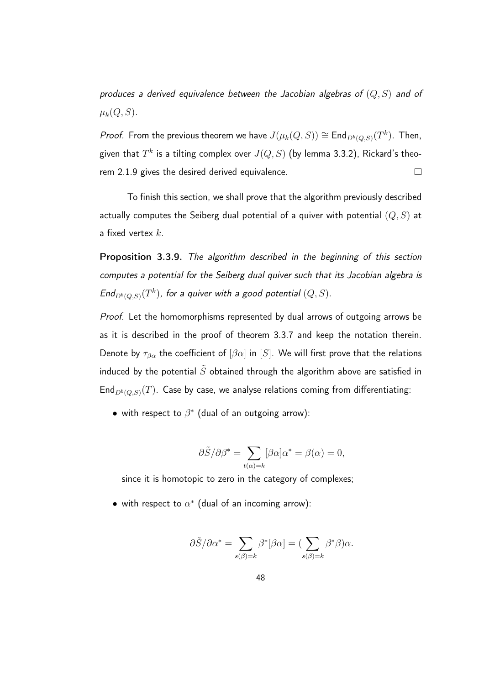produces a derived equivalence between the Jacobian algebras of  $(Q, S)$  and of  $\mu_k(Q, S)$ .

*Proof.* From the previous theorem we have  $J(\mu_k(Q, S)) \cong \mathsf{End}_{D^b(Q,S)}(T^k)$ . Then, given that  $T^k$  is a tilting complex over  $J(Q,S)$  (by lemma 3.3.2), Rickard's theorem 2.1.9 gives the desired derived equivalence.  $\Box$ 

To finish this section, we shall prove that the algorithm previously described actually computes the Seiberg dual potential of a quiver with potential  $(Q, S)$  at a fixed vertex  $k$ .

Proposition 3.3.9. The algorithm described in the beginning of this section computes a potential for the Seiberg dual quiver such that its Jacobian algebra is  $\mathsf{End}_{D^b(Q,S)}(T^k)$ , for a quiver with a good potential  $(Q,S).$ 

Proof. Let the homomorphisms represented by dual arrows of outgoing arrows be as it is described in the proof of theorem 3.3.7 and keep the notation therein. Denote by  $\tau_{\beta\alpha}$  the coefficient of  $[\beta\alpha]$  in  $[S]$ . We will first prove that the relations induced by the potential  $\tilde{S}$  obtained through the algorithm above are satisfied in End $_{D^b(Q,S)}(T)$ . Case by case, we analyse relations coming from differentiating:

 $\bullet$  with respect to  $\beta^*$  (dual of an outgoing arrow):

$$
\partial \tilde{S}/\partial \beta^* = \sum_{t(\alpha)=k} [\beta \alpha] \alpha^* = \beta(\alpha) = 0,
$$

since it is homotopic to zero in the category of complexes;

 $\bullet\,$  with respect to  $\alpha^*$  (dual of an incoming arrow):

$$
\frac{\partial \tilde{S}}{\partial \alpha^*} = \sum_{s(\beta)=k} \beta^* [\beta \alpha] = (\sum_{s(\beta)=k} \beta^* \beta) \alpha.
$$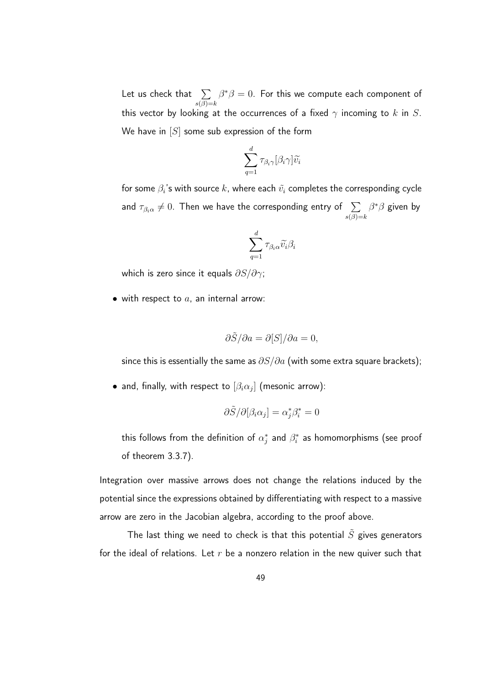Let us check that  $|\sum$  $s(\beta)=k$  $\beta^*\beta=0.$  For this we compute each component of this vector by looking at the occurrences of a fixed  $\gamma$  incoming to k in S. We have in  $[S]$  some sub expression of the form

$$
\sum_{q=1}^d \tau_{\beta_i \gamma} [\beta_i \gamma] \widetilde{v_i}
$$

for some  $\beta_i$ 's with source  $k$ , where each  $\tilde{v_i}$  completes the corresponding cycle and  $\tau_{\beta_i \alpha} \neq 0$ . Then we have the corresponding entry of  $\sum\limits_{s(\beta)=k}$  $\beta^*\beta$  given by

$$
\sum_{q=1}^d \tau_{\beta_i \alpha} \widetilde{v_i} \beta_i
$$

which is zero since it equals  $\partial S/\partial \gamma$ ;

• with respect to  $a$ , an internal arrow:

$$
\frac{\partial \tilde{S}}{\partial a} = \frac{\partial [S]}{\partial a} = 0,
$$

since this is essentially the same as  $\partial S/\partial a$  (with some extra square brackets);

 $\bullet$  and, finally, with respect to  $[\beta_i\alpha_j]$  (mesonic arrow):

$$
\partial \tilde{S}/\partial [\beta_i \alpha_j] = \alpha_j^* \beta_i^* = 0
$$

this follows from the definition of  $\alpha_j^*$  and  $\beta_i^*$  as homomorphisms (see proof of theorem 3.3.7).

Integration over massive arrows does not change the relations induced by the potential since the expressions obtained by differentiating with respect to a massive arrow are zero in the Jacobian algebra, according to the proof above.

The last thing we need to check is that this potential  $\tilde{S}$  gives generators for the ideal of relations. Let  $r$  be a nonzero relation in the new quiver such that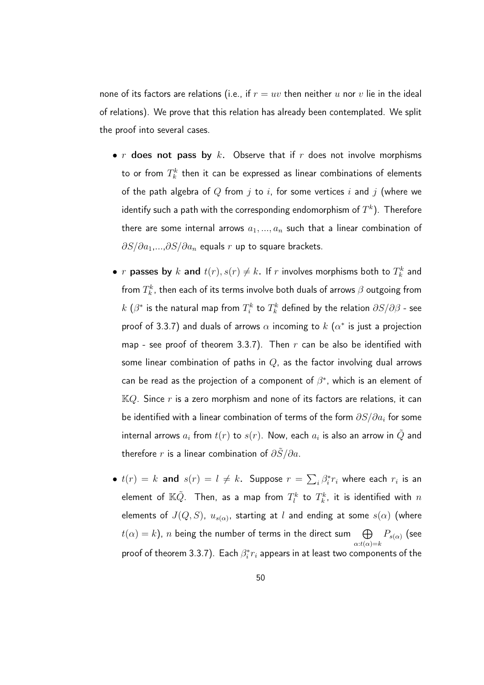none of its factors are relations (i.e., if  $r = uv$  then neither u nor v lie in the ideal of relations). We prove that this relation has already been contemplated. We split the proof into several cases.

- $r$  does not pass by  $k$ . Observe that if  $r$  does not involve morphisms to or from  $T_k^k$  then it can be expressed as linear combinations of elements of the path algebra of  $Q$  from  $j$  to  $i$ , for some vertices  $i$  and  $j$  (where we identify such a path with the corresponding endomorphism of  $T^k).$  Therefore there are some internal arrows  $a_1, ..., a_n$  such that a linear combination of  $\partial S/\partial a_1,...,\partial S/\partial a_n$  equals r up to square brackets.
- $r$  passes by  $k$  and  $t(r), s(r) \neq k$ . If  $r$  involves morphisms both to  $T_k^k$  and from  $T_k^k$ , then each of its terms involve both duals of arrows  $\beta$  outgoing from  $k$   $(\beta^*$  is the natural map from  $T_i^k$  to  $T_k^k$  defined by the relation  $\partial S/\partial \beta$  - see proof of 3.3.7) and duals of arrows  $\alpha$  incoming to  $k$   $(\alpha^*$  is just a projection map - see proof of theorem 3.3.7). Then  $r$  can be also be identified with some linear combination of paths in  $Q$ , as the factor involving dual arrows can be read as the projection of a component of  $\beta^*$ , which is an element of  $KQ$ . Since r is a zero morphism and none of its factors are relations, it can be identified with a linear combination of terms of the form  $\partial S/\partial a_i$  for some internal arrows  $a_i$  from  $t(r)$  to  $s(r).$  Now, each  $a_i$  is also an arrow in  $\tilde{Q}$  and therefore r is a linear combination of  $\partial \tilde{S}/\partial a$ .
- $t(r) = k$  and  $s(r) = l \neq k$ . Suppose  $r = \sum_i \beta_i^* r_i$  where each  $r_i$  is an element of  $\mathbb{K}\tilde{Q}.$  Then, as a map from  $T_{l}^{k}$  to  $T_{k}^{k}$ , it is identified with  $n$ elements of  $J(Q,S)$ ,  $u_{s(\alpha)}$ , starting at  $l$  and ending at some  $s(\alpha)$  (where  $t(\alpha)=k$ ),  $n$  being the number of terms in the direct sum  $\qquad \bigoplus$  $\alpha$ : $t(\alpha) = k$  $P_{s(\alpha)}$  (see proof of theorem 3.3.7). Each  $\beta_i^*r_i$  appears in at least two components of the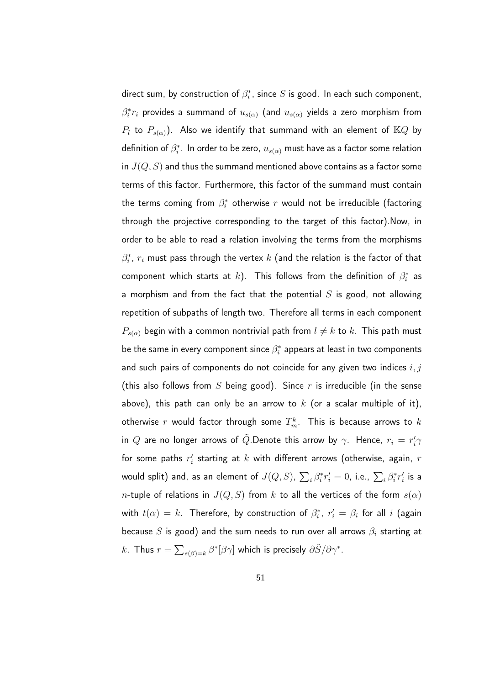direct sum, by construction of  $\beta_i^*$ , since  $S$  is good. In each such component,  $\beta_i^*r_i$  provides a summand of  $u_{s(\alpha)}$  (and  $u_{s(\alpha)}$  yields a zero morphism from  $P_l$  to  $P_{s(\alpha)}$ ). Also we identify that summand with an element of  $\mathbb{K}Q$  by definition of  $\beta_i^*$ . In order to be zero,  $u_{s(\alpha)}$  must have as a factor some relation in  $J(Q, S)$  and thus the summand mentioned above contains as a factor some terms of this factor. Furthermore, this factor of the summand must contain the terms coming from  $\beta_i^*$  otherwise  $r$  would not be irreducible (factoring through the projective corresponding to the target of this factor).Now, in order to be able to read a relation involving the terms from the morphisms  $\beta_i^*$ ,  $r_i$  must pass through the vertex  $k$  (and the relation is the factor of that component which starts at  $k$ ). This follows from the definition of  $\beta_i^*$  as a morphism and from the fact that the potential  $S$  is good, not allowing repetition of subpaths of length two. Therefore all terms in each component  $P_{s(\alpha)}$  begin with a common nontrivial path from  $l\neq k$  to  $k$ . This path must be the same in every component since  $\beta_i^*$  appears at least in two components and such pairs of components do not coincide for any given two indices  $i, j$ (this also follows from S being good). Since r is irreducible (in the sense above), this path can only be an arrow to  $k$  (or a scalar multiple of it), otherwise  $r$  would factor through some  $T^k_m.$  This is because arrows to  $k$ in  $Q$  are no longer arrows of  $\tilde{Q}.$ Denote this arrow by  $\gamma.$  Hence,  $r_i = r_i'\gamma$ for some paths  $r_i^{\prime}$  starting at  $k$  with different arrows (otherwise, again,  $r$ would split) and, as an element of  $J(Q,S)$ ,  $\sum_i \beta_i^* r'_i = 0$ , i.e.,  $\sum_i \beta_i^* r'_i$  is a *n*-tuple of relations in  $J(Q, S)$  from k to all the vertices of the form  $s(\alpha)$ with  $t(\alpha)=k.$  Therefore, by construction of  $\beta^*_i$ ,  $r'_i=\beta_i$  for all  $i$  (again because S is good) and the sum needs to run over all arrows  $\beta_i$  starting at k. Thus  $r=\sum_{s(\beta)=k}\beta^*[\beta\gamma]$  which is precisely  $\partial\tilde{S}/\partial\gamma^*$ .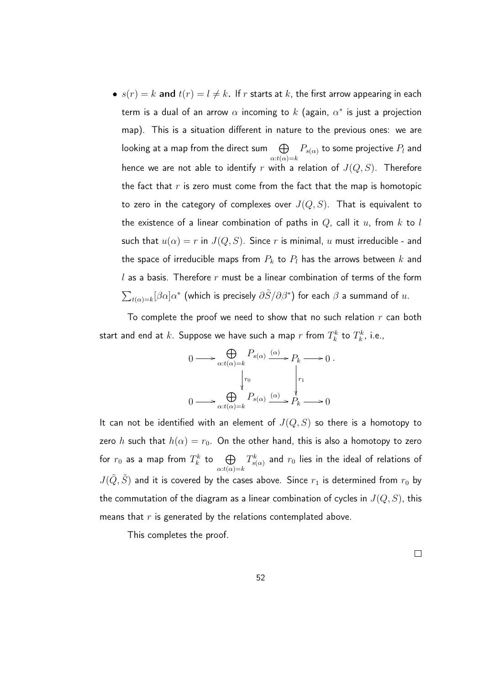•  $s(r) = k$  and  $t(r) = l \neq k$ . If r starts at k, the first arrow appearing in each term is a dual of an arrow  $\alpha$  incoming to  $k$  (again,  $\alpha^*$  is just a projection map). This is a situation different in nature to the previous ones: we are looking at a map from the direct sum  $\quad \bigoplus$  $\alpha$ : $t(\alpha) = k$  $P_{s(\alpha)}$  to some projective  $P_l$  and hence we are not able to identify r with a relation of  $J(Q, S)$ . Therefore the fact that  $r$  is zero must come from the fact that the map is homotopic to zero in the category of complexes over  $J(Q, S)$ . That is equivalent to the existence of a linear combination of paths in  $Q$ , call it  $u$ , from  $k$  to  $l$ such that  $u(\alpha) = r$  in  $J(Q, S)$ . Since r is minimal, u must irreducible - and the space of irreducible maps from  $P_k$  to  $P_l$  has the arrows between  $k$  and  $l$  as a basis. Therefore  $r$  must be a linear combination of terms of the form  $\sum_{t(\alpha)=k}[\beta\alpha]\alpha^*$  (which is precisely  $\partial\tilde{S}/\partial\beta^*$ ) for each  $\beta$  a summand of  $u.$ 

To complete the proof we need to show that no such relation  $r$  can both start and end at  $k.$  Suppose we have such a map  $r$  from  $T_k^k$  to  $T_k^k$ , i.e.,

.

$$
0 \longrightarrow \bigoplus_{\alpha: t(\alpha)=k} P_{s(\alpha)} \xrightarrow{\alpha} P_k \longrightarrow 0
$$
  

$$
\downarrow^{r_0} \qquad \qquad \downarrow^{r_1}
$$
  

$$
0 \longrightarrow \bigoplus_{\alpha: t(\alpha)=k} P_{s(\alpha)} \xrightarrow{\alpha} P_k \longrightarrow 0
$$

It can not be identified with an element of  $J(Q, S)$  so there is a homotopy to zero h such that  $h(\alpha) = r_0$ . On the other hand, this is also a homotopy to zero for  $r_0$  as a map from  $T_k^k$  to  $\quad \bigoplus$  $\alpha$ : $t(\alpha) = k$  $T_{s(\alpha)}^{k}$  and  $r_{0}$  lies in the ideal of relations of  $J(\tilde{Q}, \tilde{S})$  and it is covered by the cases above. Since  $r_1$  is determined from  $r_0$  by the commutation of the diagram as a linear combination of cycles in  $J(Q, S)$ , this means that  $r$  is generated by the relations contemplated above.

This completes the proof.

 $\Box$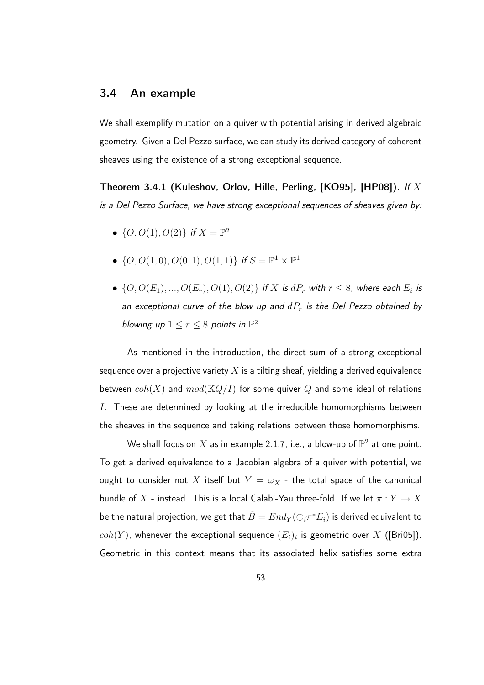#### 3.4 An example

We shall exemplify mutation on a quiver with potential arising in derived algebraic geometry. Given a Del Pezzo surface, we can study its derived category of coherent sheaves using the existence of a strong exceptional sequence.

Theorem 3.4.1 (Kuleshov, Orlov, Hille, Perling, [KO95], [HP08]). If X is a Del Pezzo Surface, we have strong exceptional sequences of sheaves given by:

- $\{O, O(1), O(2)\}$  if  $X = \mathbb{P}^2$
- $\{O, O(1, 0), O(0, 1), O(1, 1)\}$  if  $S = \mathbb{P}^1 \times \mathbb{P}^1$
- $\{O,O(E_1),...,O(E_r),O(1),O(2)\}$  if  $X$  is  $dP_r$  with  $r \leq 8$ , where each  $E_i$  is an exceptional curve of the blow up and  $dP_r$  is the Del Pezzo obtained by blowing up  $1 \leq r \leq 8$  points in  $\mathbb{P}^2$ .

As mentioned in the introduction, the direct sum of a strong exceptional sequence over a projective variety  $X$  is a tilting sheaf, yielding a derived equivalence between  $coh(X)$  and  $mod(\mathbb{K}Q/I)$  for some quiver Q and some ideal of relations I. These are determined by looking at the irreducible homomorphisms between the sheaves in the sequence and taking relations between those homomorphisms.

We shall focus on  $X$  as in example 2.1.7, i.e., a blow-up of  $\mathbb{P}^2$  at one point. To get a derived equivalence to a Jacobian algebra of a quiver with potential, we ought to consider not X itself but  $Y = \omega_X$  - the total space of the canonical bundle of  $X$  - instead. This is a local Calabi-Yau three-fold. If we let  $\pi:Y\to X$ be the natural projection, we get that  $\tilde{B}=End_Y(\oplus_i \pi^*E_i)$  is derived equivalent to  $coh(Y)$ , whenever the exceptional sequence  $(E_i)_i$  is geometric over  $X$  ([Bri05]). Geometric in this context means that its associated helix satisfies some extra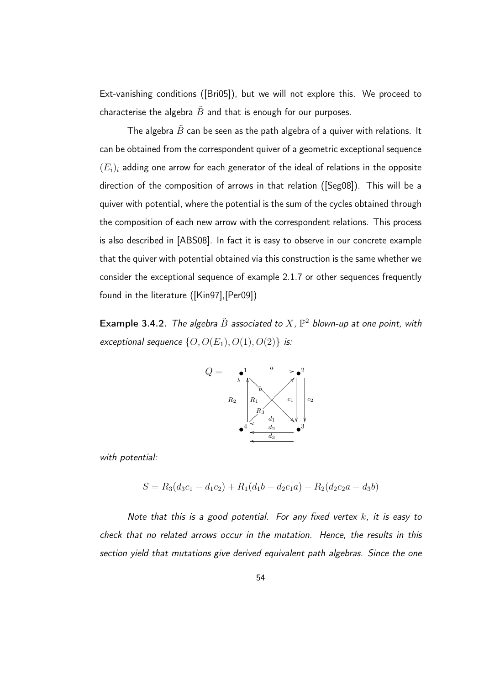Ext-vanishing conditions ([Bri05]), but we will not explore this. We proceed to characterise the algebra  $\tilde{B}$  and that is enough for our purposes.

The algebra  $\tilde{B}$  can be seen as the path algebra of a quiver with relations. It can be obtained from the correspondent quiver of a geometric exceptional sequence  $(E_i)_i$  adding one arrow for each generator of the ideal of relations in the opposite direction of the composition of arrows in that relation ([Seg08]). This will be a quiver with potential, where the potential is the sum of the cycles obtained through the composition of each new arrow with the correspondent relations. This process is also described in [ABS08]. In fact it is easy to observe in our concrete example that the quiver with potential obtained via this construction is the same whether we consider the exceptional sequence of example 2.1.7 or other sequences frequently found in the literature ([Kin97],[Per09])

**Example 3.4.2.** The algebra  $\tilde{B}$  associated to  $X$ ,  $\mathbb{P}^2$  blown-up at one point, with exceptional sequence  $\{O,O(E_1),O(1),O(2)\}\;$  is:



with potential:

$$
S = R_3(d_3c_1 - d_1c_2) + R_1(d_1b - d_2c_1a) + R_2(d_2c_2a - d_3b)
$$

Note that this is a good potential. For any fixed vertex  $k$ , it is easy to check that no related arrows occur in the mutation. Hence, the results in this section yield that mutations give derived equivalent path algebras. Since the one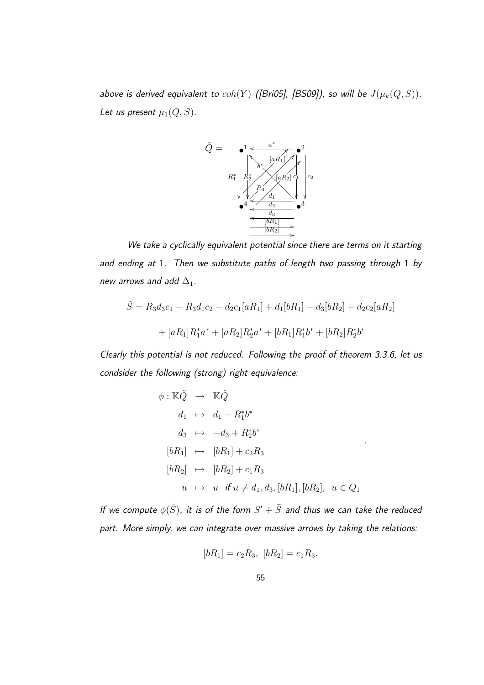above is derived equivalent to  $coh(Y)$  ([Bri05], [BS09]), so will be  $J(\mu_k(Q,S))$ . Let us present  $\mu_1(Q, S)$ .



We take a cyclically equivalent potential since there are terms on it starting and ending at 1. Then we substitute paths of length two passing through 1 by new arrows and add  $\Delta_1$ .

$$
\tilde{S} = R_3 d_3 c_1 - R_3 d_1 c_2 - d_2 c_1 [aR_1] + d_1 [bR_1] - d_3 [bR_2] + d_2 c_2 [aR_2]
$$

$$
+ [aR_1] R_1^* a^* + [aR_2] R_2^* a^* + [bR_1] R_1^* b^* + [bR_2] R_2^* b^*
$$

Clearly this potential is not reduced. Following the proof of theorem 3.3.6, let us condsider the following (strong) right equivalence:

$$
\phi: \mathbb{K}\tilde{Q} \rightarrow \mathbb{K}\tilde{Q}
$$
  
\n
$$
d_1 \rightarrow d_1 - R_1^* b^*
$$
  
\n
$$
d_3 \rightarrow -d_3 + R_2^* b^*
$$
  
\n
$$
[bR_1] \rightarrow [bR_1] + c_2 R_3
$$
  
\n
$$
[bR_2] \rightarrow [bR_2] + c_1 R_3
$$
  
\n
$$
u \rightarrow u \text{ if } u \neq d_1, d_3, [bR_1], [bR_2], u \in Q_1
$$

.

If we compute  $\phi(\tilde S)$ , it is of the form  $S'+\bar S$  and thus we can take the reduced part. More simply, we can integrate over massive arrows by taking the relations:

$$
[bR_1] = c_2 R_3, [bR_2] = c_1 R_3.
$$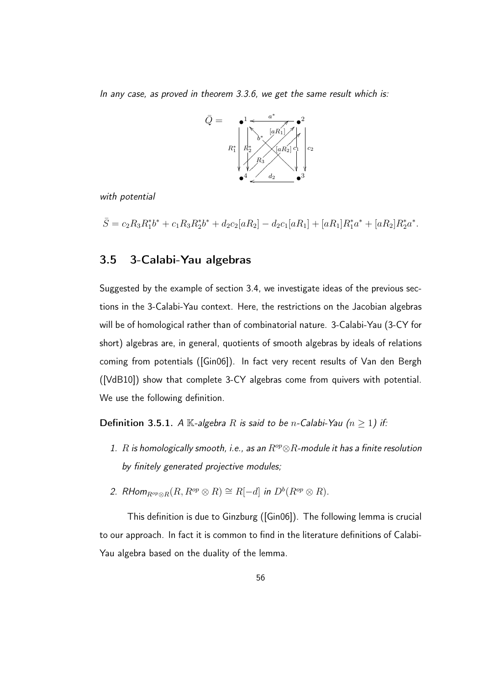In any case, as proved in theorem 3.3.6, we get the same result which is:



with potential

 $\bar{S} = c_2 R_3 R_1^* b^* + c_1 R_3 R_2^* b^* + d_2 c_2 [aR_2] - d_2 c_1 [aR_1] + [aR_1] R_1^* a^* + [aR_2] R_2^* a^*.$ 

#### 3.5 3-Calabi-Yau algebras

Suggested by the example of section 3.4, we investigate ideas of the previous sections in the 3-Calabi-Yau context. Here, the restrictions on the Jacobian algebras will be of homological rather than of combinatorial nature. 3-Calabi-Yau (3-CY for short) algebras are, in general, quotients of smooth algebras by ideals of relations coming from potentials ([Gin06]). In fact very recent results of Van den Bergh ([VdB10]) show that complete 3-CY algebras come from quivers with potential. We use the following definition.

**Definition 3.5.1.** A K-algebra R is said to be n-Calabi-Yau ( $n \ge 1$ ) if:

- 1. R is homologically smooth, i.e., as an  $R^{op} \otimes R$ -module it has a finite resolution by finitely generated projective modules;
- 2. RHom $_{R^{op}\otimes R}(R,R^{op}\otimes R)\cong R[-d]$  in  $D^b(R^{op}\otimes R)$ .

This definition is due to Ginzburg ([Gin06]). The following lemma is crucial to our approach. In fact it is common to find in the literature definitions of Calabi-Yau algebra based on the duality of the lemma.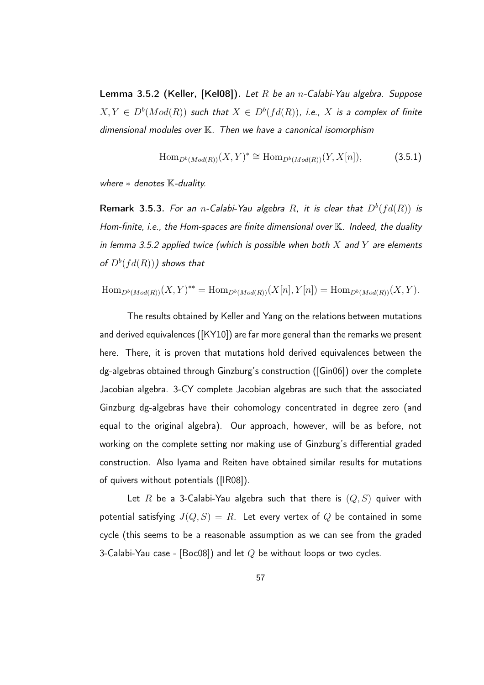Lemma 3.5.2 (Keller, [Kel08]). Let R be an n-Calabi-Yau algebra. Suppose  $X,Y \in D^b(Mod(R))$  such that  $X \in D^b(fd(R))$ , i.e.,  $X$  is a complex of finite dimensional modules over K. Then we have a canonical isomorphism

$$
\text{Hom}_{D^b(Mod(R))}(X,Y)^* \cong \text{Hom}_{D^b(Mod(R))}(Y,X[n]),\tag{3.5.1}
$$

where  $*$  denotes  $K$ -duality.

**Remark 3.5.3.** For an n-Calabi-Yau algebra R, it is clear that  $D^b(fd(R))$  is Hom-finite, i.e., the Hom-spaces are finite dimensional over  $\mathbb K$ . Indeed, the duality in lemma 3.5.2 applied twice (which is possible when both  $X$  and  $Y$  are elements of  $D^b(fd(R)))$  shows that

Hom<sub>*D*<sup>b</sup></sub>(Mod(*R*))
$$
(X, Y)^{**}
$$
 = Hom<sub>*D*<sup>b</sup></sub>(Mod(*R*)) $(X[n], Y[n])$  = Hom<sub>*D*<sup>b</sup></sub>(Mod(*R*)) $(X, Y)$ .

The results obtained by Keller and Yang on the relations between mutations and derived equivalences ([KY10]) are far more general than the remarks we present here. There, it is proven that mutations hold derived equivalences between the dg-algebras obtained through Ginzburg's construction ([Gin06]) over the complete Jacobian algebra. 3-CY complete Jacobian algebras are such that the associated Ginzburg dg-algebras have their cohomology concentrated in degree zero (and equal to the original algebra). Our approach, however, will be as before, not working on the complete setting nor making use of Ginzburg's differential graded construction. Also Iyama and Reiten have obtained similar results for mutations of quivers without potentials ([IR08]).

Let R be a 3-Calabi-Yau algebra such that there is  $(Q, S)$  quiver with potential satisfying  $J(Q, S) = R$ . Let every vertex of Q be contained in some cycle (this seems to be a reasonable assumption as we can see from the graded 3-Calabi-Yau case - [Boc08]) and let  $Q$  be without loops or two cycles.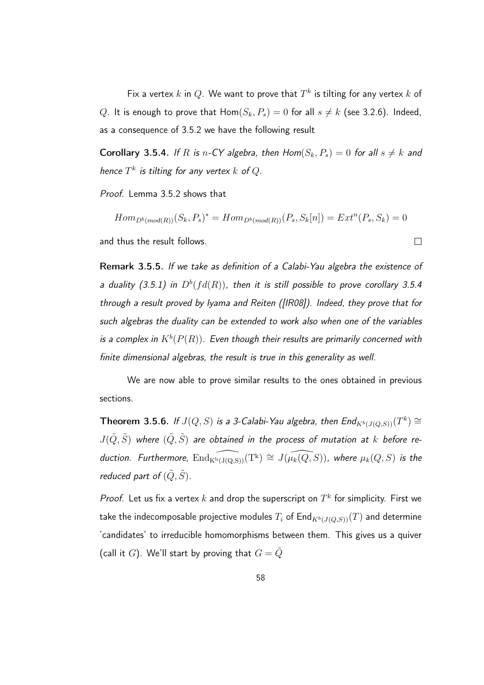Fix a vertex  $k$  in  $Q.$  We want to prove that  $T^k$  is tilting for any vertex  $k$  of Q. It is enough to prove that  $Hom(S_k, P_s) = 0$  for all  $s \neq k$  (see 3.2.6). Indeed, as a consequence of 3.5.2 we have the following result

**Corollary 3.5.4.** If R is n-CY algebra, then  $Hom(S_k, P_s) = 0$  for all  $s \neq k$  and hence  $T^k$  is tilting for any vertex  $k$  of  $Q.$ 

Proof. Lemma 3.5.2 shows that

 $Hom_{D^b(mod(R))}(S_k, P_s)^* = Hom_{D^b(mod(R))}(P_s, S_k[n]) = Ext^{n}(P_s, S_k) = 0$ and thus the result follows.  $\Box$ 

Remark 3.5.5. If we take as definition of a Calabi-Yau algebra the existence of a duality (3.5.1) in  $D^b(fd(R))$ , then it is still possible to prove corollary 3.5.4 through a result proved by Iyama and Reiten ([IR08]). Indeed, they prove that for such algebras the duality can be extended to work also when one of the variables is a complex in  $K^b(P(R))$ . Even though their results are primarily concerned with finite dimensional algebras, the result is true in this generality as well.

We are now able to prove similar results to the ones obtained in previous sections.

**Theorem 3.5.6.** If  $J(Q, S)$  is a 3-Calabi-Yau algebra, then  $\mathsf{End}_{K^b(J(Q,S))}(T^k)\cong \mathsf{Hom}(\mathbb{C})$  $J(\tilde{Q},\tilde{S})$  where  $(\tilde{Q},\tilde{S})$  are obtained in the process of mutation at  $k$  before reduction. Furthermore,  $\widehat{\rm End_{K^b(J(Q,S))}}(T^k)\cong J(\widehat{\mu_k(Q,S)})$ , where  $\mu_k(Q,S)$  is the reduced part of  $(\tilde{Q}, \tilde{S})$ .

Proof. Let us fix a vertex  $k$  and drop the superscript on  $T^k$  for simplicity. First we take the indecomposable projective modules  $T_i$  of End $_{K^b(J(Q,S))}(T)$  and determine 'candidates' to irreducible homomorphisms between them. This gives us a quiver (call it G). We'll start by proving that  $G = \tilde{Q}$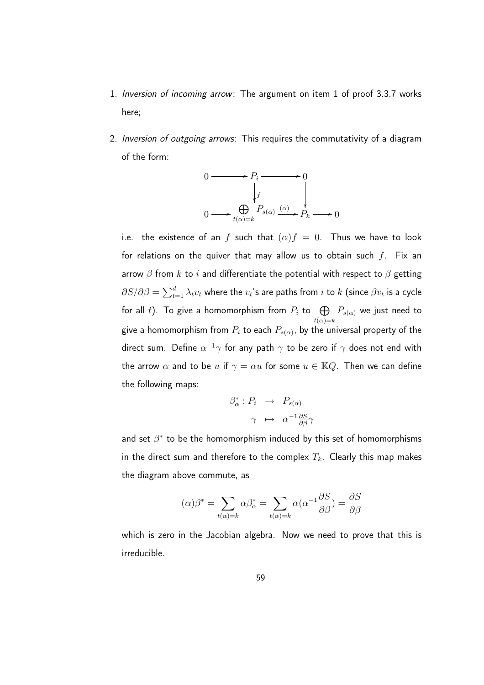- 1. Inversion of incoming arrow: The argument on item 1 of proof 3.3.7 works here;
- 2. *Inversion of outgoing arrows*: This requires the commutativity of a diagram of the form:

$$
0 \longrightarrow P_i \longrightarrow 0
$$
  
\n
$$
\downarrow f
$$
  
\n
$$
0 \longrightarrow \bigoplus_{t(\alpha)=k} P_{s(\alpha)} \xrightarrow{(\alpha)} P_k \longrightarrow 0
$$

i.e. the existence of an f such that  $(\alpha) f = 0$ . Thus we have to look for relations on the quiver that may allow us to obtain such  $f$ . Fix an arrow  $\beta$  from k to i and differentiate the potential with respect to  $\beta$  getting  $\partial S/\partial \beta=\sum_{t=1}^d\lambda_t v_t$  where the  $v_t$ 's are paths from  $i$  to  $k$  (since  $\beta v_t$  is a cycle for all  $t$ ). To give a homomorphism from  $P_i$  to  $\quadbigoplus$  $t(\alpha)=k$  $P_{s(\alpha)}$  we just need to give a homomorphism from  $P_i$  to each  $P_{s(\alpha)}$ , by the universal property of the direct sum. Define  $\alpha^{-1}\gamma$  for any path  $\gamma$  to be zero if  $\gamma$  does not end with the arrow  $\alpha$  and to be u if  $\gamma = \alpha u$  for some  $u \in \mathbb{K}Q$ . Then we can define the following maps:

$$
\begin{array}{rcl}\n\beta_{\alpha}^* : P_i & \to & P_{s(\alpha)} \\
\gamma & \mapsto & \alpha^{-1} \frac{\partial S}{\partial \beta}\gamma\n\end{array}
$$

and set  $\beta^*$  to be the homomorphism induced by this set of homomorphisms in the direct sum and therefore to the complex  $T_k$ . Clearly this map makes the diagram above commute, as

$$
(\alpha)\beta^* = \sum_{t(\alpha)=k} \alpha \beta^*_{\alpha} = \sum_{t(\alpha)=k} \alpha (\alpha^{-1} \frac{\partial S}{\partial \beta}) = \frac{\partial S}{\partial \beta}
$$

which is zero in the Jacobian algebra. Now we need to prove that this is irreducible.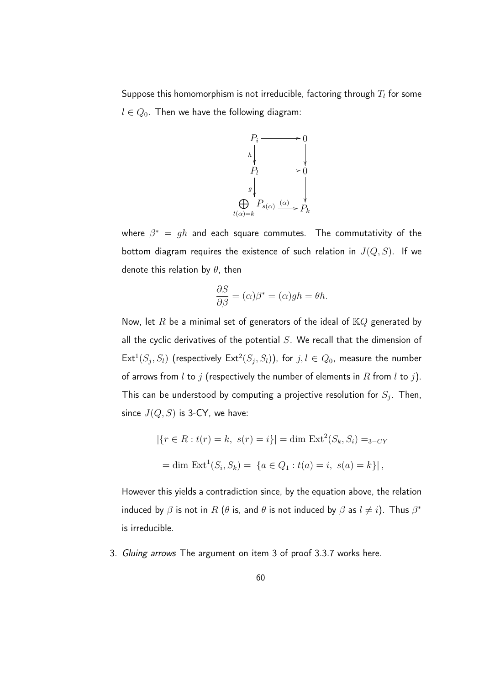Suppose this homomorphism is not irreducible, factoring through  $T_l$  for some  $l \in Q_0$ . Then we have the following diagram:



where  $\beta^* \,=\, gh$  and each square commutes. The commutativity of the bottom diagram requires the existence of such relation in  $J(Q, S)$ . If we denote this relation by  $\theta$ , then

$$
\frac{\partial S}{\partial \beta} = (\alpha)\beta^* = (\alpha)gh = \theta h.
$$

Now, let R be a minimal set of generators of the ideal of  $KQ$  generated by all the cyclic derivatives of the potential  $S$ . We recall that the dimension of  $\mathsf{Ext}^1(S_j, S_l)$  (respectively  $\mathsf{Ext}^2(S_j, S_l)$ ), for  $j, l \in Q_0$ , measure the number of arrows from l to j (respectively the number of elements in R from l to j). This can be understood by computing a projective resolution for  $S_j.$  Then, since  $J(Q, S)$  is 3-CY, we have:

$$
|\{r \in R : t(r) = k, \ s(r) = i\}| = \dim \operatorname{Ext}^2(S_k, S_i) =_{3-CY}
$$

$$
= \dim \operatorname{Ext}^1(S_i, S_k) = |\{a \in Q_1 : t(a) = i, \ s(a) = k\}|,
$$

However this yields a contradiction since, by the equation above, the relation induced by  $\beta$  is not in  $R$  ( $\theta$  is, and  $\theta$  is not induced by  $\beta$  as  $l\neq i$ ). Thus  $\beta^*$ is irreducible.

3. Gluing arrows The argument on item 3 of proof 3.3.7 works here.